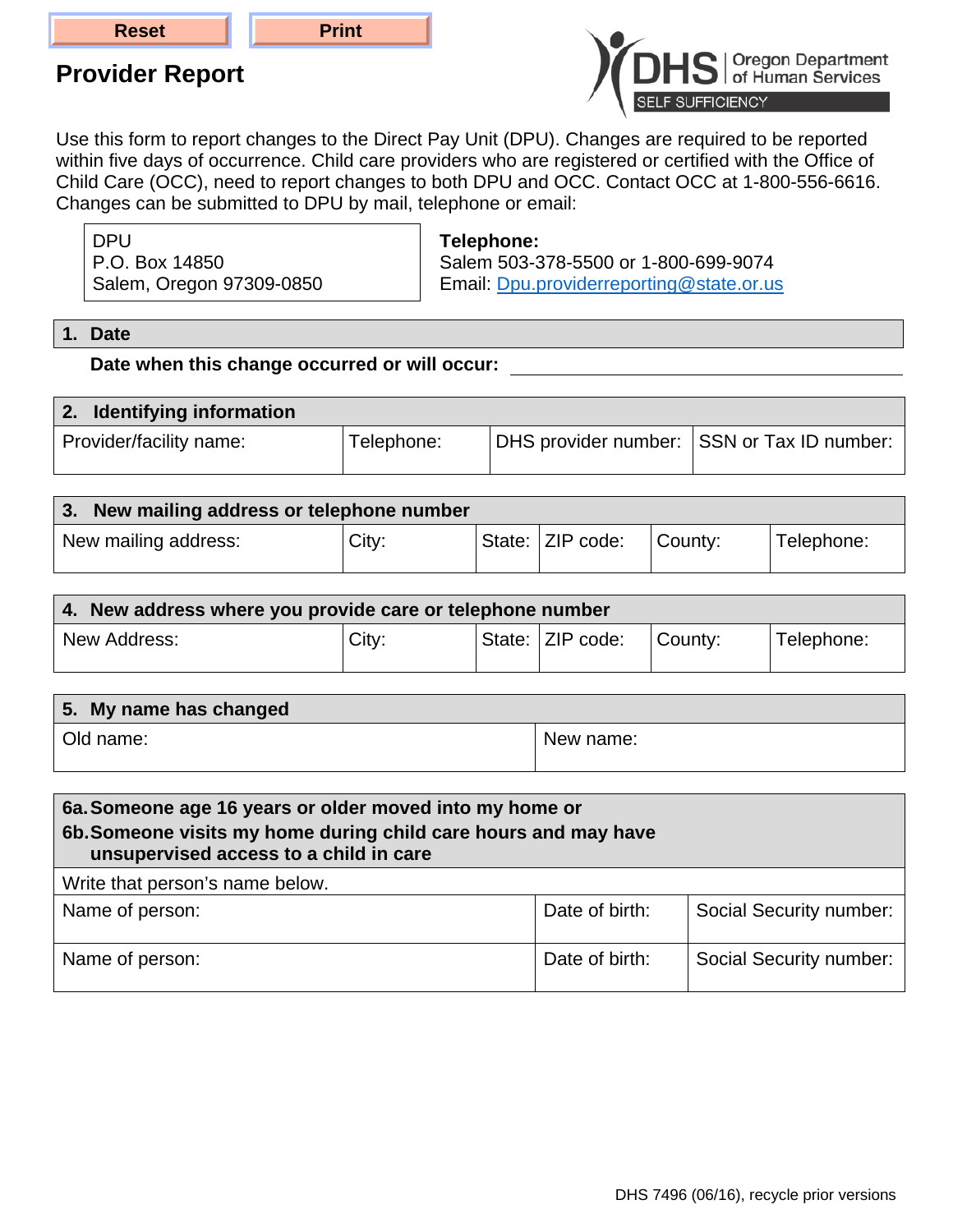## **Provider Report**



Use this form to report changes to the Direct Pay Unit (DPU). Changes are required to be reported within five days of occurrence. Child care providers who are registered or certified with the Office of Child Care (OCC), need to report changes to both DPU and OCC. Contact OCC at 1-800-556-6616. Changes can be submitted to DPU by mail, telephone or email:

DPU P.O. Box 14850 Salem, Oregon 97309-0850 **Telephone:**

Salem 503-378-5500 or 1-800-699-9074 Email: Dpu.providerreporting@state.or.us

**1. Date**

**Date when this change occurred or will occur:** 

| 2. Identifying information |            |                                            |
|----------------------------|------------|--------------------------------------------|
| Provider/facility name:    | Telephone: | DHS provider number: SSN or Tax ID number: |

| 3. New mailing address or telephone number |       |                   |         |            |
|--------------------------------------------|-------|-------------------|---------|------------|
| New mailing address:                       | City: | State:  ZIP code: | County: | Telephone: |

| 4. New address where you provide care or telephone number |       |  |                  |         |            |
|-----------------------------------------------------------|-------|--|------------------|---------|------------|
| New Address:                                              | City: |  | State: ZIP code: | County: | Telephone: |

| 5. My name has changed |           |
|------------------------|-----------|
| Old name:              | New name: |

| 6a. Someone age 16 years or older moved into my home or<br>6b. Someone visits my home during child care hours and may have<br>unsupervised access to a child in care |                |                         |  |
|----------------------------------------------------------------------------------------------------------------------------------------------------------------------|----------------|-------------------------|--|
| Write that person's name below.                                                                                                                                      |                |                         |  |
| Name of person:                                                                                                                                                      | Date of birth: | Social Security number: |  |
| Name of person:                                                                                                                                                      | Date of birth: | Social Security number: |  |